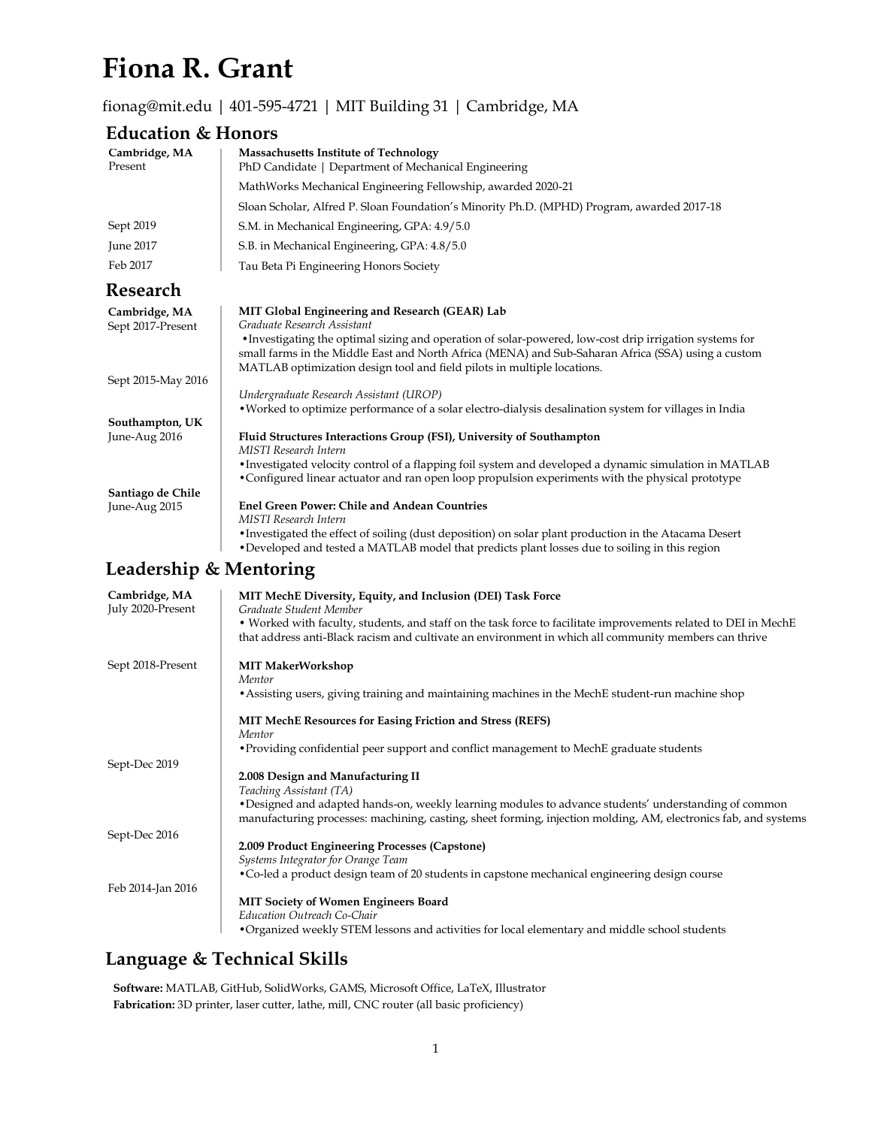# **Fiona R. Grant**

#### [fionag@mit.edu](mailto:fionag@mit.edu) | 401-595-4721 | MIT Building 31 | Cambridge, MA

#### **Education & Honors**

| Cambridge, MA<br>Present           | <b>Massachusetts Institute of Technology</b><br>PhD Candidate   Department of Mechanical Engineering                                                                                                                                                                                                                                                                                                                   |
|------------------------------------|------------------------------------------------------------------------------------------------------------------------------------------------------------------------------------------------------------------------------------------------------------------------------------------------------------------------------------------------------------------------------------------------------------------------|
|                                    | MathWorks Mechanical Engineering Fellowship, awarded 2020-21                                                                                                                                                                                                                                                                                                                                                           |
|                                    | Sloan Scholar, Alfred P. Sloan Foundation's Minority Ph.D. (MPHD) Program, awarded 2017-18                                                                                                                                                                                                                                                                                                                             |
| Sept 2019                          | S.M. in Mechanical Engineering, GPA: 4.9/5.0                                                                                                                                                                                                                                                                                                                                                                           |
| June 2017                          | S.B. in Mechanical Engineering, GPA: 4.8/5.0                                                                                                                                                                                                                                                                                                                                                                           |
| Feb 2017                           | Tau Beta Pi Engineering Honors Society                                                                                                                                                                                                                                                                                                                                                                                 |
| Research                           |                                                                                                                                                                                                                                                                                                                                                                                                                        |
| Cambridge, MA<br>Sept 2017-Present | MIT Global Engineering and Research (GEAR) Lab<br>Graduate Research Assistant<br>• Investigating the optimal sizing and operation of solar-powered, low-cost drip irrigation systems for<br>small farms in the Middle East and North Africa (MENA) and Sub-Saharan Africa (SSA) using a custom<br>MATLAB optimization design tool and field pilots in multiple locations.                                              |
| Sept 2015-May 2016                 | Undergraduate Research Assistant (UROP)                                                                                                                                                                                                                                                                                                                                                                                |
| Southampton, UK<br>June-Aug 2016   | • Worked to optimize performance of a solar electro-dialysis desalination system for villages in India<br>Fluid Structures Interactions Group (FSI), University of Southampton<br>MISTI Research Intern<br>• Investigated velocity control of a flapping foil system and developed a dynamic simulation in MATLAB<br>• Configured linear actuator and ran open loop propulsion experiments with the physical prototype |
| Santiago de Chile                  |                                                                                                                                                                                                                                                                                                                                                                                                                        |
| June-Aug 2015                      | <b>Enel Green Power: Chile and Andean Countries</b><br>MISTI Research Intern                                                                                                                                                                                                                                                                                                                                           |

•Investigated the effect of soiling (dust deposition) on solar plant production in the Atacama Desert •Developed and tested a MATLAB model that predicts plant losses due to soiling in this region

## **Leadership & Mentoring**

| Cambridge, MA<br>July 2020-Present | MIT MechE Diversity, Equity, and Inclusion (DEI) Task Force<br>Graduate Student Member<br>. Worked with faculty, students, and staff on the task force to facilitate improvements related to DEI in MechE<br>that address anti-Black racism and cultivate an environment in which all community members can thrive |
|------------------------------------|--------------------------------------------------------------------------------------------------------------------------------------------------------------------------------------------------------------------------------------------------------------------------------------------------------------------|
| Sept 2018-Present                  | <b>MIT MakerWorkshop</b><br>Mentor<br>• Assisting users, giving training and maintaining machines in the MechE student-run machine shop                                                                                                                                                                            |
|                                    | <b>MIT MechE Resources for Easing Friction and Stress (REFS)</b><br>Mentor                                                                                                                                                                                                                                         |
| Sept-Dec 2019                      | • Providing confidential peer support and conflict management to MechE graduate students                                                                                                                                                                                                                           |
|                                    | 2.008 Design and Manufacturing II<br>Teaching Assistant (TA)                                                                                                                                                                                                                                                       |
|                                    | • Designed and adapted hands-on, weekly learning modules to advance students' understanding of common<br>manufacturing processes: machining, casting, sheet forming, injection molding, AM, electronics fab, and systems                                                                                           |
| Sept-Dec 2016                      |                                                                                                                                                                                                                                                                                                                    |
|                                    | 2.009 Product Engineering Processes (Capstone)<br>Systems Integrator for Orange Team                                                                                                                                                                                                                               |
|                                    | • Co-led a product design team of 20 students in capstone mechanical engineering design course                                                                                                                                                                                                                     |
| Feb 2014-Jan 2016                  |                                                                                                                                                                                                                                                                                                                    |
|                                    | <b>MIT Society of Women Engineers Board</b>                                                                                                                                                                                                                                                                        |
|                                    | Education Outreach Co-Chair<br>• Organized weekly STEM lessons and activities for local elementary and middle school students                                                                                                                                                                                      |
|                                    |                                                                                                                                                                                                                                                                                                                    |

## **Language & Technical Skills**

**Software:** MATLAB, GitHub, SolidWorks, GAMS, Microsoft Office, LaTeX, Illustrator **Fabrication:** 3D printer, laser cutter, lathe, mill, CNC router (all basic proficiency)